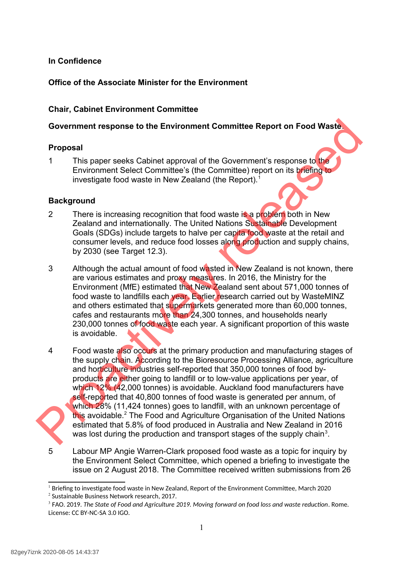## **In Confidence**

# **Office of the Associate Minister for the Environment**

# **Chair, Cabinet Environment Committee**

## **Government response to the Environment Committee Report on Food Waste**.

#### **Proposal**

1 This paper seeks Cabinet approval of the Government's response to the Environment Select Committee's (the Committee) report on its briefing to investigate food waste in New Zealand (the Report).<sup>1</sup>

### **Background**

- 2 There is increasing recognition that food waste is a problem both in New Zealand and internationally. The United Nations Sustainable Development Goals (SDGs) include targets to halve per capita food waste at the retail and consumer levels, and reduce food losses along production and supply chains, by 2030 (see Target 12.3).
- 3 Although the actual amount of food wasted in New Zealand is not known, there are various estimates and proxy measures. In 2016, the Ministry for the Environment (MfE) estimated that New Zealand sent about 571,000 tonnes of food waste to landfills each year. Earlier research carried out by WasteMINZ and others estimated that supermarkets generated more than 60,000 tonnes, cafes and restaurants more than 24,300 tonnes, and households nearly 230,000 tonnes of food waste each year. A significant proportion of this waste is avoidable.
- 4 Food waste also occurs at the primary production and manufacturing stages of the supply chain. According to the Bioresource Processing Alliance, agriculture and horticulture industries self-reported that 350,000 tonnes of food byproducts are either going to landfill or to low-value applications per year, of which 12% (42,000 tonnes) is avoidable. Auckland food manufacturers have self-reported that 40,800 tonnes of food waste is generated per annum, of which 28% (11,424 tonnes) goes to landfill, with an unknown percentage of this avoidable.<sup>2</sup> The Food and Agriculture Organisation of the United Nations estimated that 5.8% of food produced in Australia and New Zealand in 2016 was lost during the production and transport stages of the supply chain<sup>3</sup>. Government response to the Environment Committee Report on Food Wastern<br>
This paper seeks Cabinet approval of the Government's response to the<br>
Environment Select Committee's (the Committee) report<br>
investigate food waste
	- 5 Labour MP Angie Warren-Clark proposed food waste as a topic for inquiry by the Environment Select Committee, which opened a briefing to investigate the issue on 2 August 2018. The Committee received written submissions from 26

<span id="page-0-1"></span><span id="page-0-0"></span> $^{\rm 1}$  Briefing to investigate food waste in New Zealand, Report of the Environment Committee, March 2020  $^2$  Sustainable Business Network research, 2017.

<span id="page-0-2"></span><sup>3</sup> FAO. 2019. *The State of Food and Agriculture 2019. Moving forward on food loss and waste reduction*. Rome. License: CC BY-NC-SA 3.0 IGO.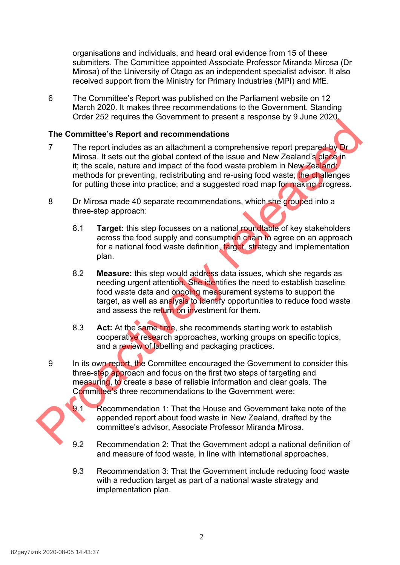organisations and individuals, and heard oral evidence from 15 of these submitters. The Committee appointed Associate Professor Miranda Mirosa (Dr Mirosa) of the University of Otago as an independent specialist advisor. It also received support from the Ministry for Primary Industries (MPI) and MfE.

6 The Committee's Report was published on the Parliament website on 12 March 2020. It makes three recommendations to the Government. Standing Order 252 requires the Government to present a response by 9 June 2020.

#### **The Committee's Report and recommendations**

- 7 The report includes as an attachment a comprehensive report prepared by Dr Mirosa. It sets out the global context of the issue and New Zealand's place in it; the scale, nature and impact of the food waste problem in New Zealand; methods for preventing, redistributing and re-using food waste; the challenges for putting those into practice; and a suggested road map for making progress. The Committee's Report and recommendations<br>
The report includes as an attachment a comprehensive report prepared by The<br>
Mirosa. It estate, not the solar onter of the issue and New Zealand<br>
It, the scale, nature and impact
	- 8 Dr Mirosa made 40 separate recommendations, which she grouped into a three-step approach:
		- 8.1 **Target:** this step focusses on a national roundtable of key stakeholders across the food supply and consumption chain to agree on an approach for a national food waste definition, target, strategy and implementation plan.
		- 8.2 **Measure:** this step would address data issues, which she regards as needing urgent attention. She identifies the need to establish baseline food waste data and ongoing measurement systems to support the target, as well as analysis to identify opportunities to reduce food waste and assess the return on investment for them.
		- 8.3 **Act:** At the same time, she recommends starting work to establish cooperative research approaches, working groups on specific topics, and a review of labelling and packaging practices.
	- 9 In its own report, the Committee encouraged the Government to consider this three-step approach and focus on the first two steps of targeting and measuring, to create a base of reliable information and clear goals. The Committee's three recommendations to the Government were:



- 9.1 Recommendation 1: That the House and Government take note of the appended report about food waste in New Zealand, drafted by the committee's advisor, Associate Professor Miranda Mirosa.
- 9.2 Recommendation 2: That the Government adopt a national definition of and measure of food waste, in line with international approaches.
- 9.3 Recommendation 3: That the Government include reducing food waste with a reduction target as part of a national waste strategy and implementation plan.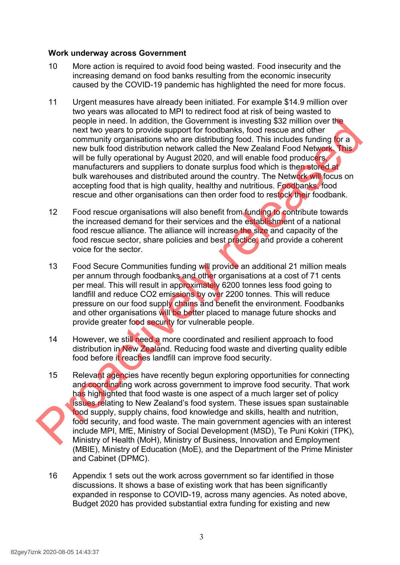#### **Work underway across Government**

- 10 More action is required to avoid food being wasted. Food insecurity and the increasing demand on food banks resulting from the economic insecurity caused by the COVID-19 pandemic has highlighted the need for more focus.
- 11 Urgent measures have already been initiated. For example \$14.9 million over two years was allocated to MPI to redirect food at risk of being wasted to people in need. In addition, the Government is investing \$32 million over the next two years to provide support for foodbanks, food rescue and other community organisations who are distributing food. This includes funding for a new bulk food distribution network called the New Zealand Food Network. This will be fully operational by August 2020, and will enable food producers. manufacturers and suppliers to donate surplus food which is then stored at bulk warehouses and distributed around the country. The Network will focus on accepting food that is high quality, healthy and nutritious. Foodbanks, food rescue and other organisations can then order food to restock their foodbank. prople in need. In a dottion, the Government is investing \$32 million over the same of the community organisations who are distribution for the community organisations who are distribution for a mew bulk food distribution
	- 12 Food rescue organisations will also benefit from funding to contribute towards the increased demand for their services and the establishment of a national food rescue alliance. The alliance will increase the size and capacity of the food rescue sector, share policies and best practice, and provide a coherent voice for the sector.
	- 13 Food Secure Communities funding will provide an additional 21 million meals per annum through foodbanks and other organisations at a cost of 71 cents per meal. This will result in approximately 6200 tonnes less food going to landfill and reduce CO2 emissions by over 2200 tonnes. This will reduce pressure on our food supply chains and benefit the environment. Foodbanks and other organisations will be better placed to manage future shocks and provide greater food security for vulnerable people.
	- 14 However, we still need a more coordinated and resilient approach to food distribution in New Zealand. Reducing food waste and diverting quality edible food before it reaches landfill can improve food security.
	- 15 Relevant agencies have recently begun exploring opportunities for connecting and coordinating work across government to improve food security. That work has highlighted that food waste is one aspect of a much larger set of policy issues relating to New Zealand's food system. These issues span sustainable food supply, supply chains, food knowledge and skills, health and nutrition, food security, and food waste. The main government agencies with an interest include MPI, MfE, Ministry of Social Development (MSD), Te Puni Kokiri (TPK), Ministry of Health (MoH), Ministry of Business, Innovation and Employment (MBIE), Ministry of Education (MoE), and the Department of the Prime Minister and Cabinet (DPMC).
	- 16 Appendix 1 sets out the work across government so far identified in those discussions. It shows a base of existing work that has been significantly expanded in response to COVID-19, across many agencies. As noted above, Budget 2020 has provided substantial extra funding for existing and new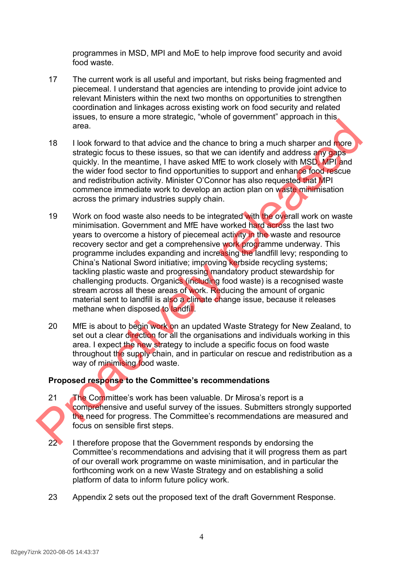programmes in MSD, MPI and MoE to help improve food security and avoid food waste.

- 17 The current work is all useful and important, but risks being fragmented and piecemeal. I understand that agencies are intending to provide joint advice to relevant Ministers within the next two months on opportunities to strengthen coordination and linkages across existing work on food security and related issues, to ensure a more strategic, "whole of government" approach in this area.
- 18 I look forward to that advice and the chance to bring a much sharper and more strategic focus to these issues, so that we can identify and address any gaps quickly. In the meantime, I have asked MfE to work closely with MSD, MPI and the wider food sector to find opportunities to support and enhance food rescue and redistribution activity. Minister O'Connor has also requested that MPI commence immediate work to develop an action plan on waste minimisation across the primary industries supply chain.
- 19 Work on food waste also needs to be integrated with the overall work on waste minimisation. Government and MfE have worked hard across the last two years to overcome a history of piecemeal activity in the waste and resource recovery sector and get a comprehensive work programme underway. This programme includes expanding and increasing the landfill levy; responding to China's National Sword initiative; improving kerbside recycling systems; tackling plastic waste and progressing mandatory product stewardship for challenging products. Organics (including food waste) is a recognised waste stream across all these areas of work. Reducing the amount of organic material sent to landfill is also a climate change issue, because it releases methane when disposed to landfill. area.<br>
The forward to that a diverse and the chance to bring a much sharper and more stretegic focus to these issues, so that we can identify and didress any gaps and the weaker didrively. In the meanime, I, have selved ME
	- 20 MfE is about to begin work on an updated Waste Strategy for New Zealand, to set out a clear direction for all the organisations and individuals working in this area. I expect the new strategy to include a specific focus on food waste throughout the supply chain, and in particular on rescue and redistribution as a way of minimising food waste.

# **Proposed response to the Committee's recommendations**

- 21 The Committee's work has been valuable. Dr Mirosa's report is a comprehensive and useful survey of the issues. Submitters strongly supported the need for progress. The Committee's recommendations are measured and focus on sensible first steps.
- 22 I therefore propose that the Government responds by endorsing the Committee's recommendations and advising that it will progress them as part of our overall work programme on waste minimisation, and in particular the forthcoming work on a new Waste Strategy and on establishing a solid platform of data to inform future policy work.
- 23 Appendix 2 sets out the proposed text of the draft Government Response.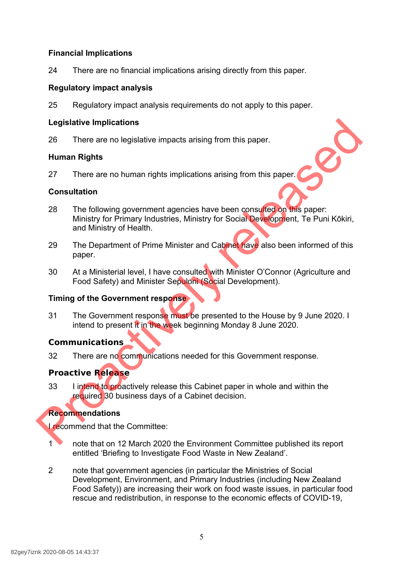## **Financial Implications**

24 There are no financial implications arising directly from this paper.

### **Regulatory impact analysis**

25 Regulatory impact analysis requirements do not apply to this paper.

#### **Legislative Implications**

26 There are no legislative impacts arising from this paper.

### **Human Rights**

27 There are no human rights implications arising from this paper.

### **Consultation**

- 28 The following government agencies have been consulted on this paper: Ministry for Primary Industries, Ministry for Social Development, Te Puni Kōkiri, and Ministry of Health. Legislative implications<br>
26 There are no legislative impacts arising from this paper.<br>
Human Rights<br>
27 There are no human rights implications arising from this paper.<br>
27 There are no human rights implications arising fr
	- 29 The Department of Prime Minister and Cabinet have also been informed of this paper.
	- 30 At a Ministerial level, I have consulted with Minister O'Connor (Agriculture and Food Safety) and Minister Sepuloni (Social Development).

# **Timing of the Government response**

31 The Government response must be presented to the House by 9 June 2020. I intend to present it in the week beginning Monday 8 June 2020.

# **Communications**

32 There are no communications needed for this Government response.

# **Proactive Release**

33 I intend to proactively release this Cabinet paper in whole and within the required 30 business days of a Cabinet decision.

# **Recommendations**

I recommend that the Committee:

- 1 note that on 12 March 2020 the Environment Committee published its report entitled 'Briefing to Investigate Food Waste in New Zealand'.
- 2 note that government agencies (in particular the Ministries of Social Development, Environment, and Primary Industries (including New Zealand Food Safety)) are increasing their work on food waste issues, in particular food rescue and redistribution, in response to the economic effects of COVID-19,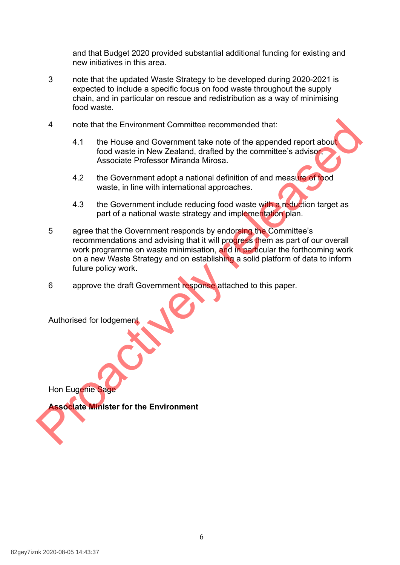and that Budget 2020 provided substantial additional funding for existing and new initiatives in this area.

- 3 note that the updated Waste Strategy to be developed during 2020-2021 is expected to include a specific focus on food waste throughout the supply chain, and in particular on rescue and redistribution as a way of minimising food waste.
- 4 note that the Environment Committee recommended that:
	- 4.1 the House and Government take note of the appended report about food waste in New Zealand, drafted by the committee's advisor, Associate Professor Miranda Mirosa.
	- 4.2 the Government adopt a national definition of and measure of food waste, in line with international approaches.
	- 4.3 the Government include reducing food waste with a reduction target as part of a national waste strategy and implementation plan.
- 5 agree that the Government responds by endorsing the Committee's recommendations and advising that it will progress them as part of our overall work programme on waste minimisation, and in particular the forthcoming work on a new Waste Strategy and on establishing a solid platform of data to inform future policy work. From Eugenies and Government and the Environment and the European and Condition of the spended to the condition of an increased in New Zealand, drafted by the committee's advisory the Government adopt a national definition
	- 6 approve the draft Government response attached to this paper.

Authorised for lodgement

**Hon Eugenie Sag** 

**Associate Minister for the Environment**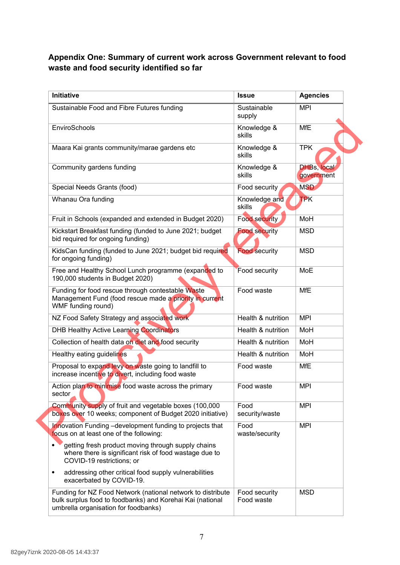# **Appendix One: Summary of current work across Government relevant to food waste and food security identified so far**

| <b>Initiative</b>                                                                                                                                                | <b>Issue</b>                | <b>Agencies</b>                  |
|------------------------------------------------------------------------------------------------------------------------------------------------------------------|-----------------------------|----------------------------------|
| Sustainable Food and Fibre Futures funding                                                                                                                       | Sustainable<br>supply       | <b>MPI</b>                       |
| EnviroSchools                                                                                                                                                    | Knowledge &<br>skills       | <b>MfE</b>                       |
| Maara Kai grants community/marae gardens etc                                                                                                                     | Knowledge &<br>skills       | <b>TPK</b>                       |
| Community gardens funding                                                                                                                                        | Knowledge &<br>skills       | <b>DHBs, local</b><br>government |
| Special Needs Grants (food)                                                                                                                                      | Food security               | <b>MSD</b>                       |
| Whanau Ora funding                                                                                                                                               | Knowledge and<br>skills     | <b>TPK</b>                       |
| Fruit in Schools (expanded and extended in Budget 2020)                                                                                                          | <b>Food security</b>        | MoH                              |
| Kickstart Breakfast funding (funded to June 2021; budget<br>bid required for ongoing funding)                                                                    | <b>Food security</b>        | <b>MSD</b>                       |
| KidsCan funding (funded to June 2021; budget bid required<br>for ongoing funding)                                                                                | <b>Food security</b>        | <b>MSD</b>                       |
| Free and Healthy School Lunch programme (expanded to<br>190,000 students in Budget 2020)                                                                         | Food security               | MoE                              |
| Funding for food rescue through contestable Waste<br>Management Fund (food rescue made a priority in current<br>WMF funding round)                               | Food waste                  | MfE                              |
| NZ Food Safety Strategy and associated work                                                                                                                      | Health & nutrition          | <b>MPI</b>                       |
| <b>DHB Healthy Active Learning Coordinators</b>                                                                                                                  | Health & nutrition          | MoH                              |
| Collection of health data on diet and food security                                                                                                              | Health & nutrition          | MoH                              |
| Healthy eating guidelines                                                                                                                                        | Health & nutrition          | MoH                              |
| Proposal to expand levy on waste going to landfill to<br>increase incentive to divert, including food waste                                                      | Food waste                  | <b>MfE</b>                       |
| Action plan to minimise food waste across the primary<br>sector                                                                                                  | Food waste                  | <b>MPI</b>                       |
| Community supply of fruit and vegetable boxes (100,000<br>boxes over 10 weeks; component of Budget 2020 initiative)                                              | Food<br>security/waste      | <b>MPI</b>                       |
| Innovation Funding -development funding to projects that<br>focus on at least one of the following:                                                              | Food<br>waste/security      | <b>MPI</b>                       |
| getting fresh product moving through supply chains<br>$\bullet$<br>where there is significant risk of food wastage due to<br>COVID-19 restrictions; or           |                             |                                  |
| addressing other critical food supply vulnerabilities<br>$\bullet$<br>exacerbated by COVID-19.                                                                   |                             |                                  |
| Funding for NZ Food Network (national network to distribute<br>bulk surplus food to foodbanks) and Korehai Kai (national<br>umbrella organisation for foodbanks) | Food security<br>Food waste | <b>MSD</b>                       |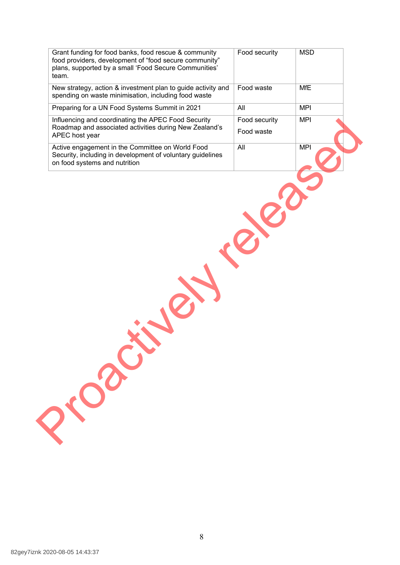| Grant funding for food banks, food rescue & community<br>food providers, development of "food secure community"<br>plans, supported by a small 'Food Secure Communities'<br>team. | Food security | <b>MSD</b> |
|-----------------------------------------------------------------------------------------------------------------------------------------------------------------------------------|---------------|------------|
| New strategy, action & investment plan to guide activity and<br>spending on waste minimisation, including food waste                                                              | Food waste    | <b>MfE</b> |
| Preparing for a UN Food Systems Summit in 2021                                                                                                                                    | All           | <b>MPI</b> |
| Influencing and coordinating the APEC Food Security                                                                                                                               | Food security | <b>MPI</b> |
| Roadmap and associated activities during New Zealand's<br>APEC host year                                                                                                          | Food waste    |            |
| Active engagement in the Committee on World Food<br>Security, including in development of voluntary guidelines<br>on food systems and nutrition                                   | All           | <b>MPI</b> |
|                                                                                                                                                                                   |               |            |
|                                                                                                                                                                                   |               |            |
| Coler                                                                                                                                                                             |               |            |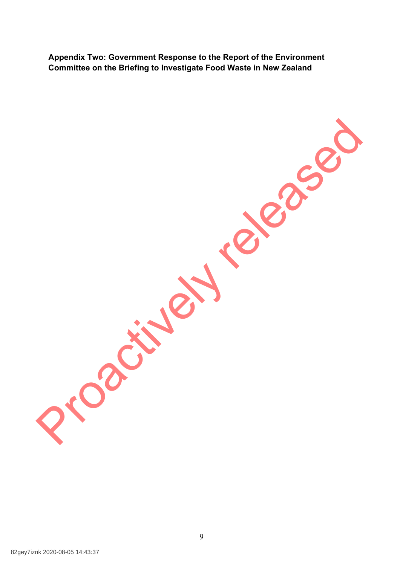**Appendix Two: Government Response to the Report of the Environment Committee on the Briefing to Investigate Food Waste in New Zealand**

82gey7iznk 2020-08-05 14:43:37

Particulary release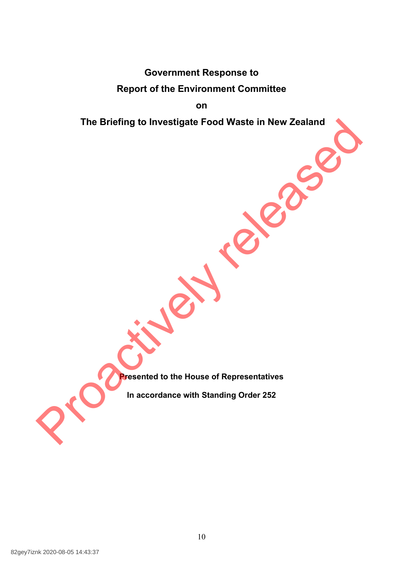**Government Response to**

# **Report of the Environment Committee**

**on**

 **The Briefing to Investigate Food Waste in New Zealand** The Briefing to Investigate Food Waste in New Zealand<br>
Constant of Constant Constant Constant Constant Constant Constant Constant Constant Constant Constant Constant Constant Constant Constant Constant Constant Constant Co

**Presented to the House of Representatives**

**In accordance with Standing Order 252**